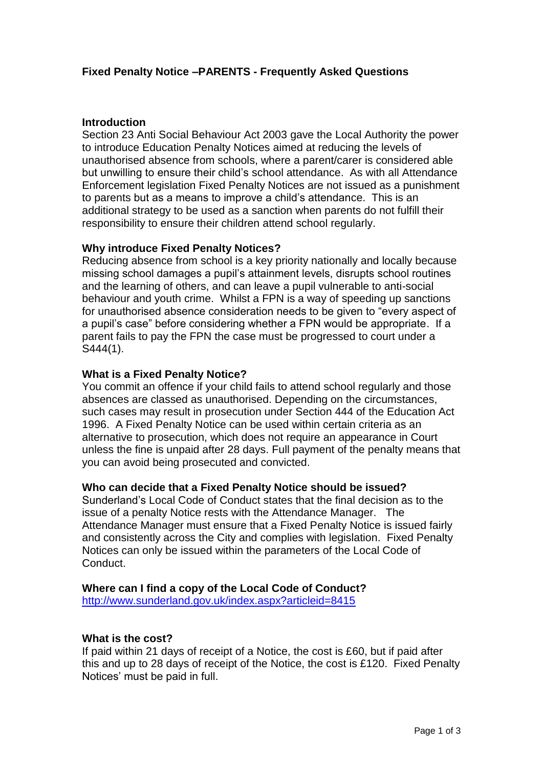# **Introduction**

Section 23 Anti Social Behaviour Act 2003 gave the Local Authority the power to introduce Education Penalty Notices aimed at reducing the levels of unauthorised absence from schools, where a parent/carer is considered able but unwilling to ensure their child's school attendance. As with all Attendance Enforcement legislation Fixed Penalty Notices are not issued as a punishment to parents but as a means to improve a child's attendance. This is an additional strategy to be used as a sanction when parents do not fulfill their responsibility to ensure their children attend school regularly.

## **Why introduce Fixed Penalty Notices?**

Reducing absence from school is a key priority nationally and locally because missing school damages a pupil's attainment levels, disrupts school routines and the learning of others, and can leave a pupil vulnerable to anti-social behaviour and youth crime. Whilst a FPN is a way of speeding up sanctions for unauthorised absence consideration needs to be given to "every aspect of a pupil's case" before considering whether a FPN would be appropriate. If a parent fails to pay the FPN the case must be progressed to court under a S444(1).

## **What is a Fixed Penalty Notice?**

You commit an offence if your child fails to attend school regularly and those absences are classed as unauthorised. Depending on the circumstances, such cases may result in prosecution under Section 444 of the Education Act 1996. A Fixed Penalty Notice can be used within certain criteria as an alternative to prosecution, which does not require an appearance in Court unless the fine is unpaid after 28 days. Full payment of the penalty means that you can avoid being prosecuted and convicted.

### **Who can decide that a Fixed Penalty Notice should be issued?**

Sunderland's Local Code of Conduct states that the final decision as to the issue of a penalty Notice rests with the Attendance Manager. The Attendance Manager must ensure that a Fixed Penalty Notice is issued fairly and consistently across the City and complies with legislation. Fixed Penalty Notices can only be issued within the parameters of the Local Code of Conduct.

# **Where can I find a copy of the Local Code of Conduct?**

<http://www.sunderland.gov.uk/index.aspx?articleid=8415>

### **What is the cost?**

If paid within 21 days of receipt of a Notice, the cost is £60, but if paid after this and up to 28 days of receipt of the Notice, the cost is £120. Fixed Penalty Notices' must be paid in full.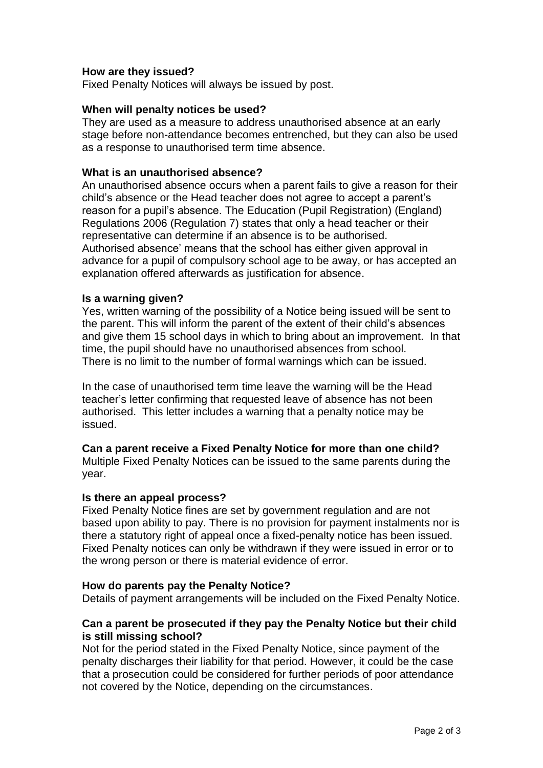# **How are they issued?**

Fixed Penalty Notices will always be issued by post.

## **When will penalty notices be used?**

They are used as a measure to address unauthorised absence at an early stage before non-attendance becomes entrenched, but they can also be used as a response to unauthorised term time absence.

### **What is an unauthorised absence?**

An unauthorised absence occurs when a parent fails to give a reason for their child's absence or the Head teacher does not agree to accept a parent's reason for a pupil's absence. The Education (Pupil Registration) (England) Regulations 2006 (Regulation 7) states that only a head teacher or their representative can determine if an absence is to be authorised. Authorised absence' means that the school has either given approval in advance for a pupil of compulsory school age to be away, or has accepted an explanation offered afterwards as justification for absence.

## **Is a warning given?**

Yes, written warning of the possibility of a Notice being issued will be sent to the parent. This will inform the parent of the extent of their child's absences and give them 15 school days in which to bring about an improvement. In that time, the pupil should have no unauthorised absences from school. There is no limit to the number of formal warnings which can be issued.

In the case of unauthorised term time leave the warning will be the Head teacher's letter confirming that requested leave of absence has not been authorised. This letter includes a warning that a penalty notice may be issued.

### **Can a parent receive a Fixed Penalty Notice for more than one child?**

Multiple Fixed Penalty Notices can be issued to the same parents during the year.

### **Is there an appeal process?**

Fixed Penalty Notice fines are set by government regulation and are not based upon ability to pay. There is no provision for payment instalments nor is there a statutory right of appeal once a fixed-penalty notice has been issued. Fixed Penalty notices can only be withdrawn if they were issued in error or to the wrong person or there is material evidence of error.

### **How do parents pay the Penalty Notice?**

Details of payment arrangements will be included on the Fixed Penalty Notice.

## **Can a parent be prosecuted if they pay the Penalty Notice but their child is still missing school?**

Not for the period stated in the Fixed Penalty Notice, since payment of the penalty discharges their liability for that period. However, it could be the case that a prosecution could be considered for further periods of poor attendance not covered by the Notice, depending on the circumstances.